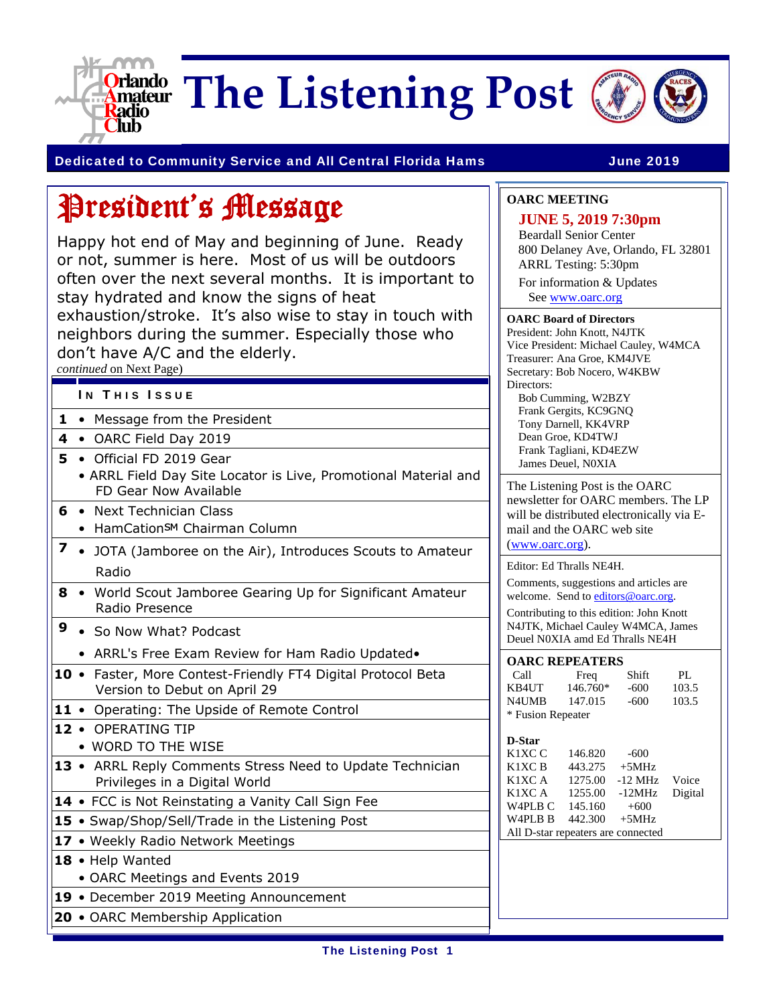

**The Listening Post**



### Dedicated to Community Service and All Central Florida Hams **June 2019**

# President's Message

Happy hot end of May and beginning of June. Ready or not, summer is here. Most of us will be outdoors often over the next several months. It is important to stay hydrated and know the signs of heat exhaustion/stroke. It's also wise to stay in touch with neighbors during the summer. Especially those who don't have A/C and the elderly.

*continued* on Next Page)

- IN THIS ISSUE
- **1** Message from the President
- **4** OARC Field Day 2019
- **5** Official FD 2019 Gear
	- ARRL Field Day Site Locator is Live, Promotional Material and FD Gear Now Available
- **6** Next Technician Class
	- HamCationSM Chairman Column
- **7**  JOTA (Jamboree on the Air), Introduces Scouts to Amateur Radio
- **8** World Scout Jamboree Gearing Up for Significant Amateur Radio Presence
- **9** So Now What? Podcast
	- ARRL's Free Exam Review for Ham Radio Updated•
- **10**  Faster, More Contest-Friendly FT4 Digital Protocol Beta Version to Debut on April 29
- 11 Operating: The Upside of Remote Control
- **12** OPERATING TIP
- WORD TO THE WISE
- **13**  ARRL Reply Comments Stress Need to Update Technician Privileges in a Digital World
- 14 FCC is Not Reinstating a Vanity Call Sign Fee
- **15**  Swap/Shop/Sell/Trade in the Listening Post
- 17 Weekly Radio Network Meetings
- **18**  Help Wanted
	- OARC Meetings and Events 2019
- **19** December 2019 Meeting Announcement
- **20** OARC Membership Application

### **OARC MEETING**

### **JUNE 5, 2019 7:30pm**

Beardall Senior Center 800 Delaney Ave, Orlando, FL 32801 ARRL Testing: 5:30pm

For information & Updates See www.oarc.org

#### **OARC Board of Directors**

President: John Knott, N4JTK Vice President: Michael Cauley, W4MCA Treasurer: Ana Groe, KM4JVE Secretary: Bob Nocero, W4KBW Directors: Bob Cumming, W2BZY Frank Gergits, KC9GNQ Tony Darnell, KK4VRP Dean Groe, KD4TWJ Frank Tagliani, KD4EZW James Deuel, N0XIA

The Listening Post is the OARC newsletter for OARC members. The LP will be distributed electronically via Email and the OARC web site

(www.oarc.org).

Editor: Ed Thralls NE4H.

Comments, suggestions and articles are welcome. Send to editors@oarc.org.

Contributing to this edition: John Knott N4JTK, Michael Cauley W4MCA, James Deuel N0XIA amd Ed Thralls NE4H

|  | <b>OARC REPEATERS</b> |  |
|--|-----------------------|--|
|  |                       |  |

| Call              | Freq     | Shift | PI.   |  |
|-------------------|----------|-------|-------|--|
| KB4UT             | 146.760* | -600  | 103.5 |  |
| N4UMB             | 147.015  | -600  | 103.5 |  |
| * Fusion Repeater |          |       |       |  |

#### **D-Star**

| K1XC C                             | 146.820          | $-600$         |  |
|------------------------------------|------------------|----------------|--|
| K1XC B                             | 443.275          | $+5MHz$        |  |
| K1XC A                             | 1275.00          | -12 MHz Voice  |  |
| K1XC A                             | 1255.00          | -12MHz Digital |  |
| W4PLB C                            | 145.160          | $+600$         |  |
| W <sub>4</sub> PL <sub>B</sub> B   | $442.300 + 5MHz$ |                |  |
| All D-star repeaters are connected |                  |                |  |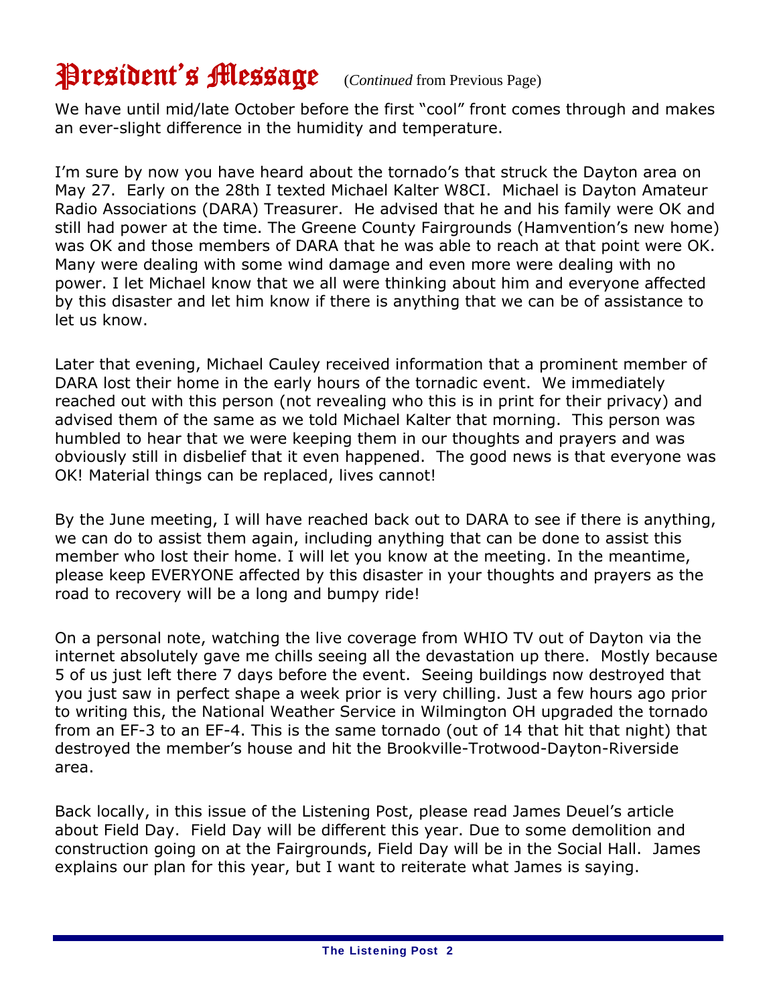# President's Message (*Continued* from Previous Page)

We have until mid/late October before the first "cool" front comes through and makes an ever-slight difference in the humidity and temperature.

I'm sure by now you have heard about the tornado's that struck the Dayton area on May 27. Early on the 28th I texted Michael Kalter W8CI. Michael is Dayton Amateur Radio Associations (DARA) Treasurer. He advised that he and his family were OK and still had power at the time. The Greene County Fairgrounds (Hamvention's new home) was OK and those members of DARA that he was able to reach at that point were OK. Many were dealing with some wind damage and even more were dealing with no power. I let Michael know that we all were thinking about him and everyone affected by this disaster and let him know if there is anything that we can be of assistance to let us know.

Later that evening, Michael Cauley received information that a prominent member of DARA lost their home in the early hours of the tornadic event. We immediately reached out with this person (not revealing who this is in print for their privacy) and advised them of the same as we told Michael Kalter that morning. This person was humbled to hear that we were keeping them in our thoughts and prayers and was obviously still in disbelief that it even happened. The good news is that everyone was OK! Material things can be replaced, lives cannot!

By the June meeting, I will have reached back out to DARA to see if there is anything, we can do to assist them again, including anything that can be done to assist this member who lost their home. I will let you know at the meeting. In the meantime, please keep EVERYONE affected by this disaster in your thoughts and prayers as the road to recovery will be a long and bumpy ride!

On a personal note, watching the live coverage from WHIO TV out of Dayton via the internet absolutely gave me chills seeing all the devastation up there. Mostly because 5 of us just left there 7 days before the event. Seeing buildings now destroyed that you just saw in perfect shape a week prior is very chilling. Just a few hours ago prior to writing this, the National Weather Service in Wilmington OH upgraded the tornado from an EF-3 to an EF-4. This is the same tornado (out of 14 that hit that night) that destroyed the member's house and hit the Brookville-Trotwood-Dayton-Riverside area.

Back locally, in this issue of the Listening Post, please read James Deuel's article about Field Day. Field Day will be different this year. Due to some demolition and construction going on at the Fairgrounds, Field Day will be in the Social Hall. James explains our plan for this year, but I want to reiterate what James is saying.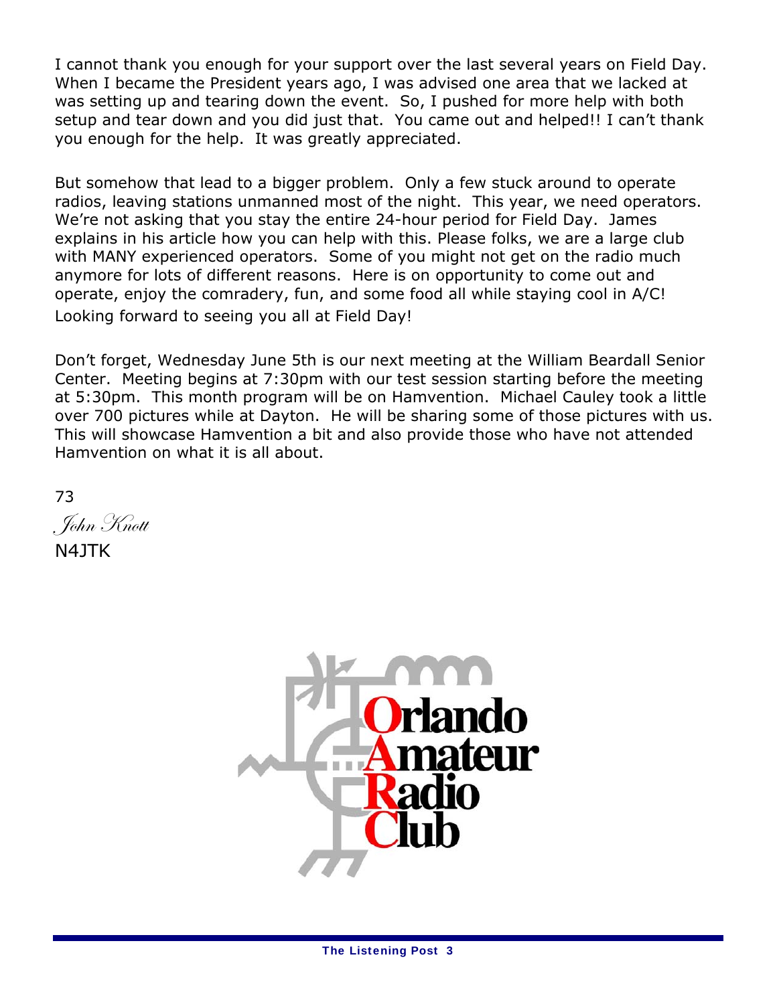I cannot thank you enough for your support over the last several years on Field Day. When I became the President years ago, I was advised one area that we lacked at was setting up and tearing down the event. So, I pushed for more help with both setup and tear down and you did just that. You came out and helped!! I can't thank you enough for the help. It was greatly appreciated.

But somehow that lead to a bigger problem. Only a few stuck around to operate radios, leaving stations unmanned most of the night. This year, we need operators. We're not asking that you stay the entire 24-hour period for Field Day. James explains in his article how you can help with this. Please folks, we are a large club with MANY experienced operators. Some of you might not get on the radio much anymore for lots of different reasons. Here is on opportunity to come out and operate, enjoy the comradery, fun, and some food all while staying cool in A/C! Looking forward to seeing you all at Field Day!

Don't forget, Wednesday June 5th is our next meeting at the William Beardall Senior Center. Meeting begins at 7:30pm with our test session starting before the meeting at 5:30pm. This month program will be on Hamvention. Michael Cauley took a little over 700 pictures while at Dayton. He will be sharing some of those pictures with us. This will showcase Hamvention a bit and also provide those who have not attended Hamvention on what it is all about.

73 John Knott

N4JTK

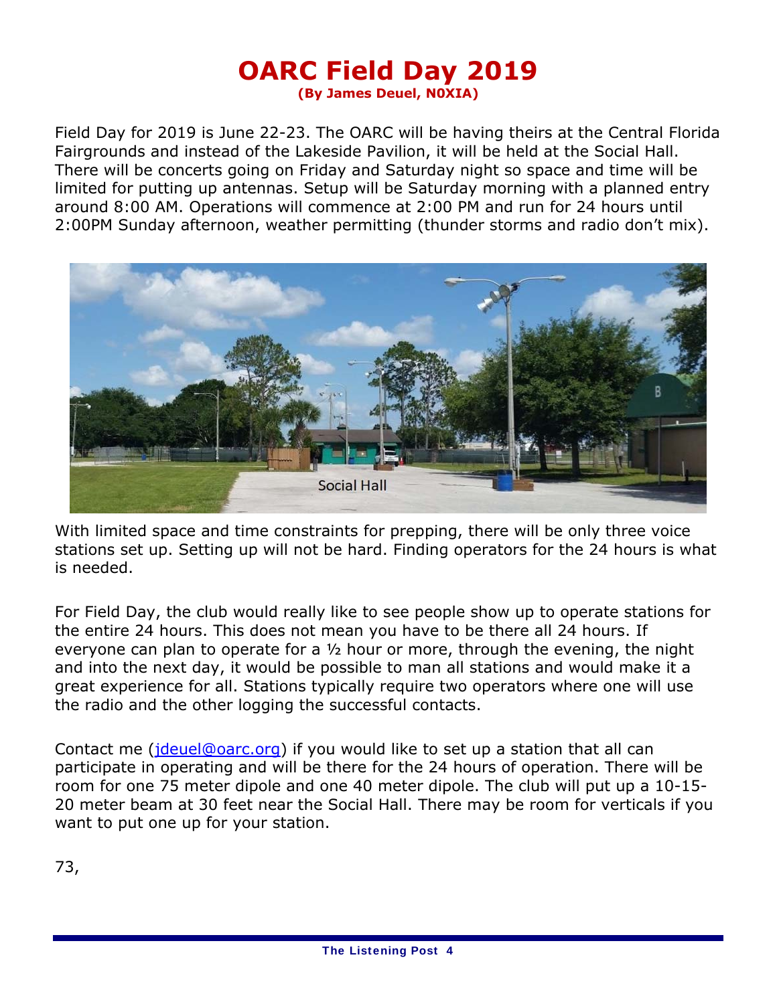### **OARC Field Day 2019 (By James Deuel, N0XIA)**

Field Day for 2019 is June 22-23. The OARC will be having theirs at the Central Florida Fairgrounds and instead of the Lakeside Pavilion, it will be held at the Social Hall. There will be concerts going on Friday and Saturday night so space and time will be limited for putting up antennas. Setup will be Saturday morning with a planned entry around 8:00 AM. Operations will commence at 2:00 PM and run for 24 hours until 2:00PM Sunday afternoon, weather permitting (thunder storms and radio don't mix).



With limited space and time constraints for prepping, there will be only three voice stations set up. Setting up will not be hard. Finding operators for the 24 hours is what is needed.

For Field Day, the club would really like to see people show up to operate stations for the entire 24 hours. This does not mean you have to be there all 24 hours. If everyone can plan to operate for a ½ hour or more, through the evening, the night and into the next day, it would be possible to man all stations and would make it a great experience for all. Stations typically require two operators where one will use the radio and the other logging the successful contacts.

Contact me (jdeuel@oarc.org) if you would like to set up a station that all can participate in operating and will be there for the 24 hours of operation. There will be room for one 75 meter dipole and one 40 meter dipole. The club will put up a 10-15- 20 meter beam at 30 feet near the Social Hall. There may be room for verticals if you want to put one up for your station.

73,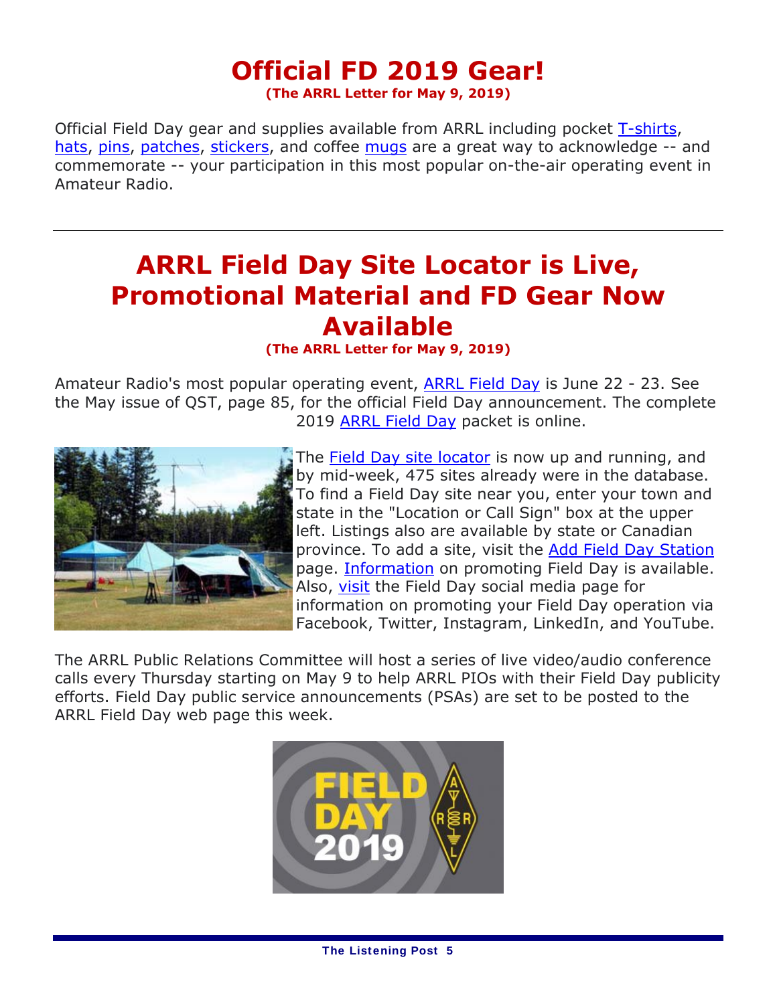### **Official FD 2019 Gear! (The ARRL Letter for May 9, 2019)**

Official Field Day gear and supplies available from ARRL including pocket T-shirts, hats, pins, patches, stickers, and coffee mugs are a great way to acknowledge -- and commemorate -- your participation in this most popular on-the-air operating event in Amateur Radio.

## **ARRL Field Day Site Locator is Live, Promotional Material and FD Gear Now Available**

### **(The ARRL Letter for May 9, 2019)**

Amateur Radio's most popular operating event, ARRL Field Day is June 22 - 23. See the May issue of *QST*, page 85, for the official Field Day announcement. The complete 2019 ARRL Field Day packet is online.



The Field Day site locator is now up and running, and by mid-week, 475 sites already were in the database. To find a Field Day site near you, enter your town and state in the "Location or Call Sign" box at the upper left. Listings also are available by state or Canadian province. To add a site, visit the **Add Field Day Station** page. Information on promoting Field Day is available. Also, visit the Field Day social media page for information on promoting your Field Day operation via Facebook, Twitter, Instagram, LinkedIn, and YouTube.

The ARRL Public Relations Committee will host a series of live video/audio conference calls every Thursday starting on May 9 to help ARRL PIOs with their Field Day publicity efforts. Field Day public service announcements (PSAs) are set to be posted to the ARRL Field Day web page this week.

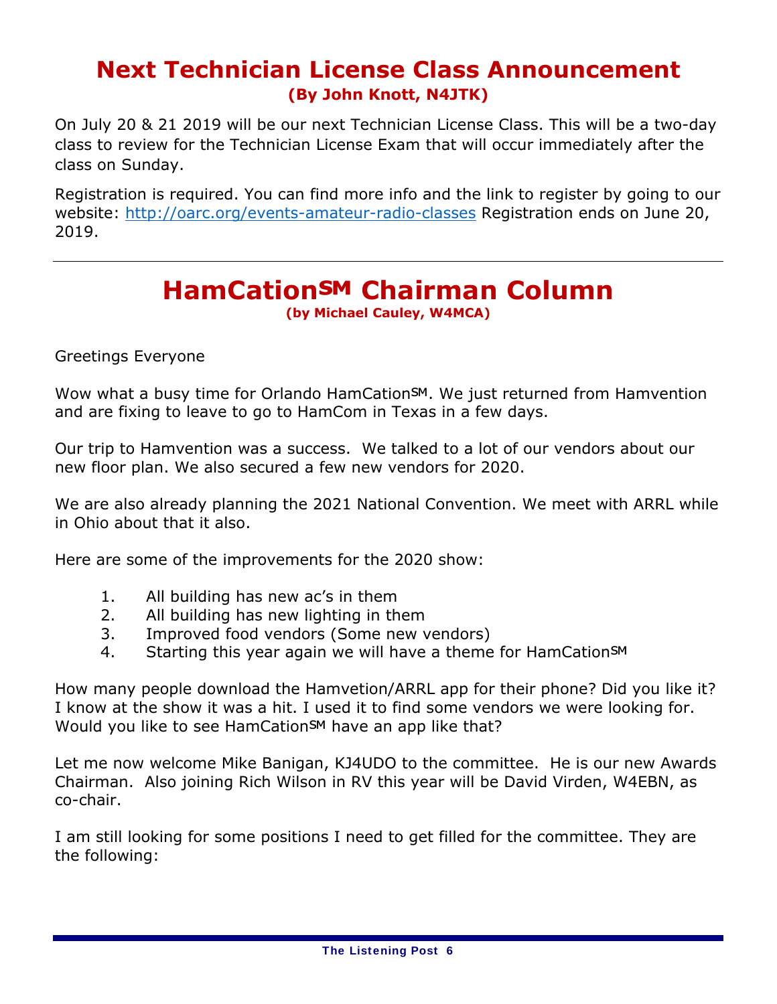## **Next Technician License Class Announcement (By John Knott, N4JTK)**

On July 20 & 21 2019 will be our next Technician License Class. This will be a two-day class to review for the Technician License Exam that will occur immediately after the class on Sunday.

Registration is required. You can find more info and the link to register by going to our website: http://oarc.org/events-amateur-radio-classes Registration ends on June 20, 2019.

## **HamCation<sup>SM</sup> Chairman Column**

**(by Michael Cauley, W4MCA)**

Greetings Everyone

Wow what a busy time for Orlando HamCationSM. We just returned from Hamvention and are fixing to leave to go to HamCom in Texas in a few days.

Our trip to Hamvention was a success. We talked to a lot of our vendors about our new floor plan. We also secured a few new vendors for 2020.

We are also already planning the 2021 National Convention. We meet with ARRL while in Ohio about that it also.

Here are some of the improvements for the 2020 show:

- 1. All building has new ac's in them
- 2. All building has new lighting in them
- 3. Improved food vendors (Some new vendors)
- 4. Starting this year again we will have a theme for HamCationSM

How many people download the Hamvetion/ARRL app for their phone? Did you like it? I know at the show it was a hit. I used it to find some vendors we were looking for. Would you like to see HamCation<sup>SM</sup> have an app like that?

Let me now welcome Mike Banigan, KJ4UDO to the committee. He is our new Awards Chairman. Also joining Rich Wilson in RV this year will be David Virden, W4EBN, as co-chair.

I am still looking for some positions I need to get filled for the committee. They are the following: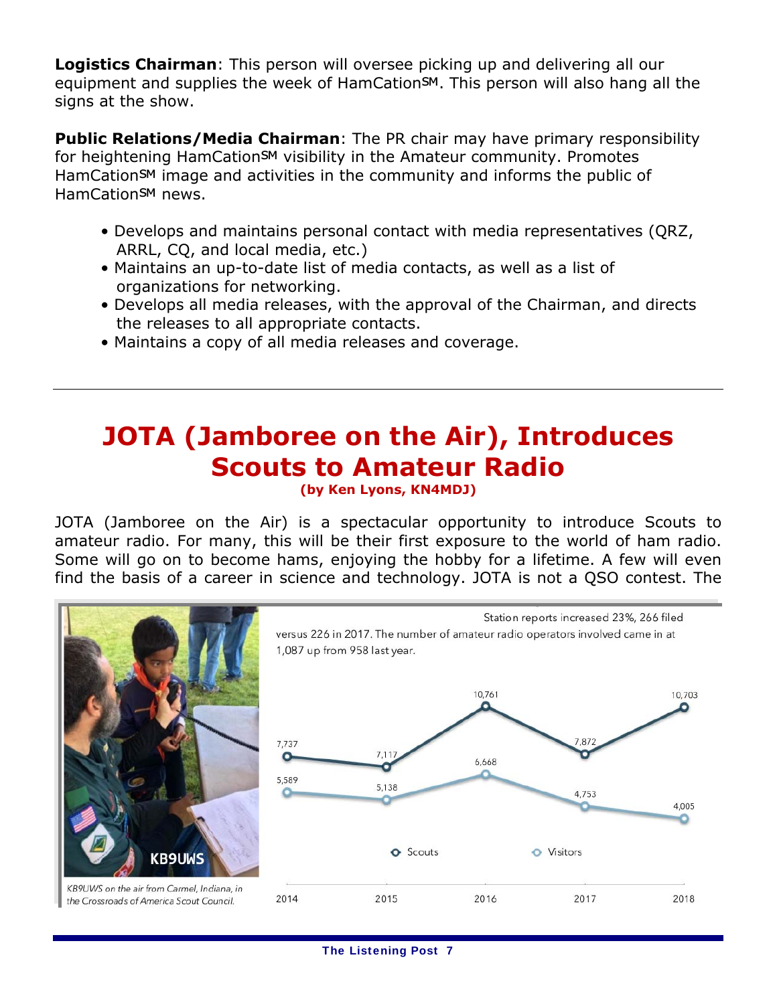**Logistics Chairman**: This person will oversee picking up and delivering all our equipment and supplies the week of HamCation<sup>SM</sup>. This person will also hang all the signs at the show.

**Public Relations/Media Chairman**: The PR chair may have primary responsibility for heightening HamCation<sup>SM</sup> visibility in the Amateur community. Promotes HamCation<sup>SM</sup> image and activities in the community and informs the public of HamCation<sup>SM</sup> news.

- Develops and maintains personal contact with media representatives (QRZ, ARRL, CQ, and local media, etc.)
- Maintains an up-to-date list of media contacts, as well as a list of organizations for networking.
- Develops all media releases, with the approval of the Chairman, and directs the releases to all appropriate contacts.
- Maintains a copy of all media releases and coverage.

# **JOTA (Jamboree on the Air), Introduces Scouts to Amateur Radio**

**(by Ken Lyons, KN4MDJ)** 

JOTA (Jamboree on the Air) is a spectacular opportunity to introduce Scouts to amateur radio. For many, this will be their first exposure to the world of ham radio. Some will go on to become hams, enjoying the hobby for a lifetime. A few will even find the basis of a career in science and technology. JOTA is not a QSO contest. The

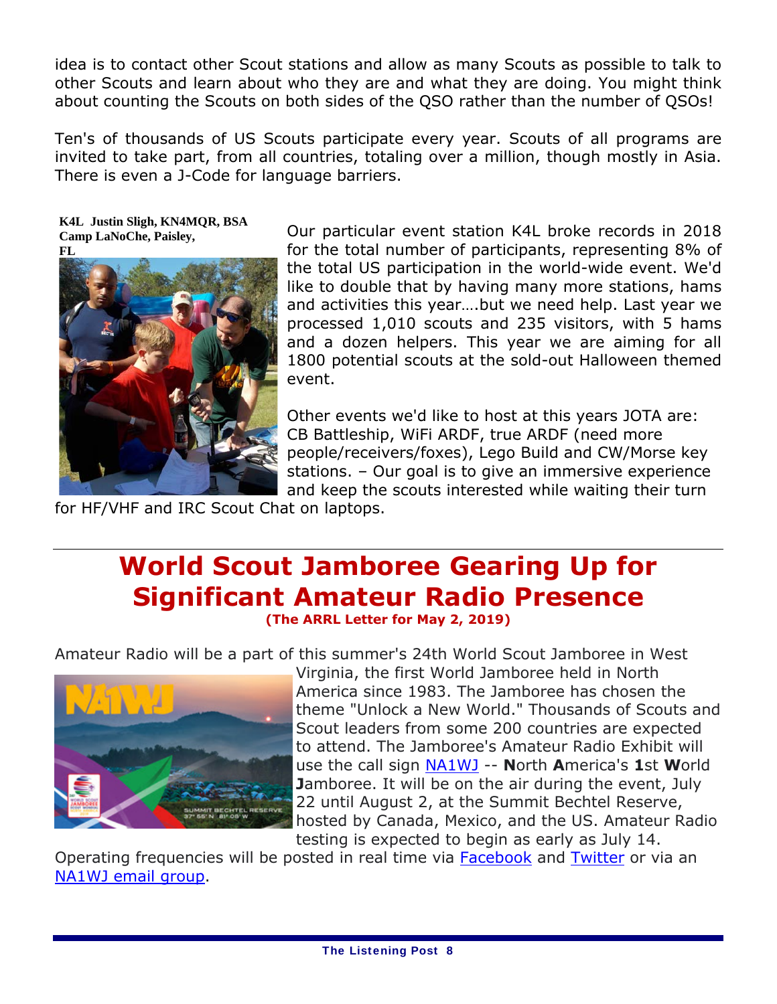idea is to contact other Scout stations and allow as many Scouts as possible to talk to other Scouts and learn about who they are and what they are doing. You might think about counting the Scouts on both sides of the QSO rather than the number of QSOs!

Ten's of thousands of US Scouts participate every year. Scouts of all programs are invited to take part, from all countries, totaling over a million, though mostly in Asia. There is even a J-Code for language barriers.

**K4L Justin Sligh, KN4MQR, BSA Camp LaNoChe, Paisley,** 



Our particular event station K4L broke records in 2018 for the total number of participants, representing 8% of the total US participation in the world-wide event. We'd like to double that by having many more stations, hams and activities this year….but we need help. Last year we processed 1,010 scouts and 235 visitors, with 5 hams and a dozen helpers. This year we are aiming for all 1800 potential scouts at the sold-out Halloween themed event.

Other events we'd like to host at this years JOTA are: CB Battleship, WiFi ARDF, true ARDF (need more people/receivers/foxes), Lego Build and CW/Morse key stations. – Our goal is to give an immersive experience and keep the scouts interested while waiting their turn

for HF/VHF and IRC Scout Chat on laptops.

# **World Scout Jamboree Gearing Up for Significant Amateur Radio Presence**

**(The ARRL Letter for May 2, 2019)**

Amateur Radio will be a part of this summer's 24th World Scout Jamboree in West



Virginia, the first World Jamboree held in North America since 1983. The Jamboree has chosen the theme "Unlock a New World." Thousands of Scouts and Scout leaders from some 200 countries are expected to attend. The Jamboree's Amateur Radio Exhibit will use the call sign NA1WJ -- **N**orth **A**merica's **1**st **W**orld **J**amboree. It will be on the air during the event, July 22 until August 2, at the Summit Bechtel Reserve, hosted by Canada, Mexico, and the US. Amateur Radio testing is expected to begin as early as July 14.

Operating frequencies will be posted in real time via Facebook and Twitter or via an NA1WJ email group.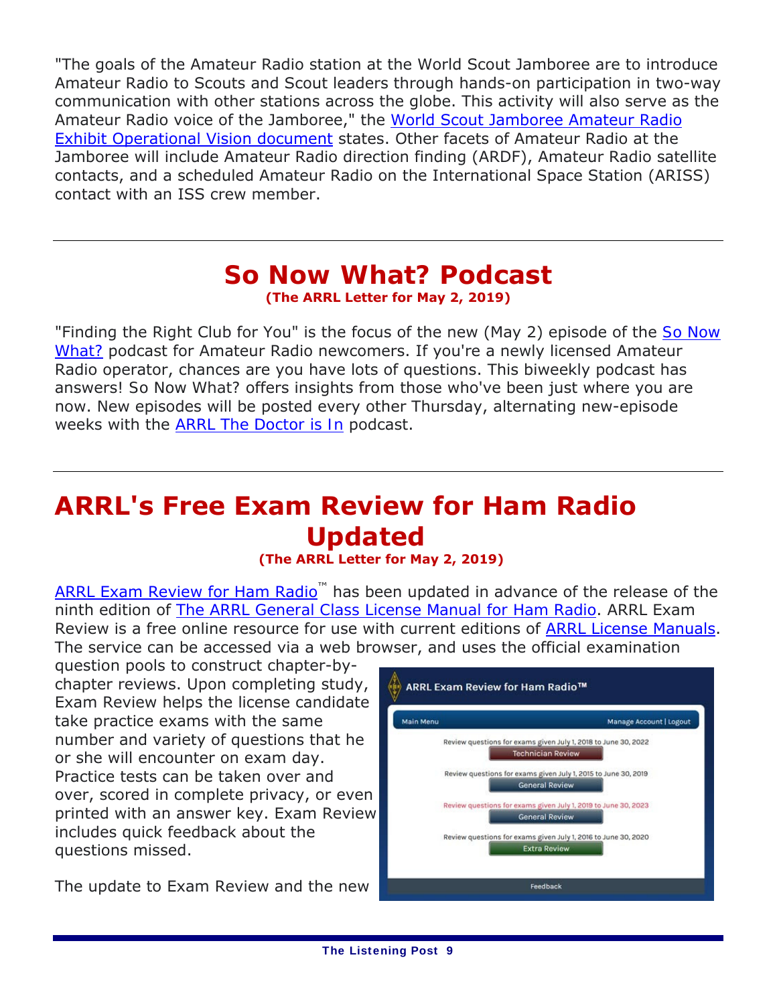"The goals of the Amateur Radio station at the World Scout Jamboree are to introduce Amateur Radio to Scouts and Scout leaders through hands-on participation in two-way communication with other stations across the globe. This activity will also serve as the Amateur Radio voice of the Jamboree," the World Scout Jamboree Amateur Radio Exhibit Operational Vision document states. Other facets of Amateur Radio at the Jamboree will include Amateur Radio direction finding (ARDF), Amateur Radio satellite contacts, and a scheduled Amateur Radio on the International Space Station (ARISS) contact with an ISS crew member.

### *So Now What?* **Podcast (The ARRL Letter for May 2, 2019)**

"Finding the Right Club for You" is the focus of the new (May 2) episode of the *So Now What?* podcast for Amateur Radio newcomers. If you're a newly licensed Amateur Radio operator, chances are you have lots of questions. This biweekly podcast has answers! *So Now What?* offers insights from those who've been just where you are now. New episodes will be posted every other Thursday, alternating new-episode weeks with the *ARRL The Doctor is In* podcast.

# **ARRL's Free Exam Review for Ham Radio Updated**

### **(The ARRL Letter for May 2, 2019)**

ARRL Exam Review for Ham Radio<sup>™</sup> has been updated in advance of the release of the ninth edition of *The ARRL General Class License Manual for Ham Radio*. ARRL Exam Review is a free online resource for use with current editions of ARRL License Manuals. The service can be accessed via a web browser, and uses the official examination

question pools to construct chapter-bychapter reviews. Upon completing study, Exam Review helps the license candidate take practice exams with the same number and variety of questions that he or she will encounter on exam day. Practice tests can be taken over and over, scored in complete privacy, or even printed with an answer key. Exam Review includes quick feedback about the questions missed.

The update to Exam Review and the new

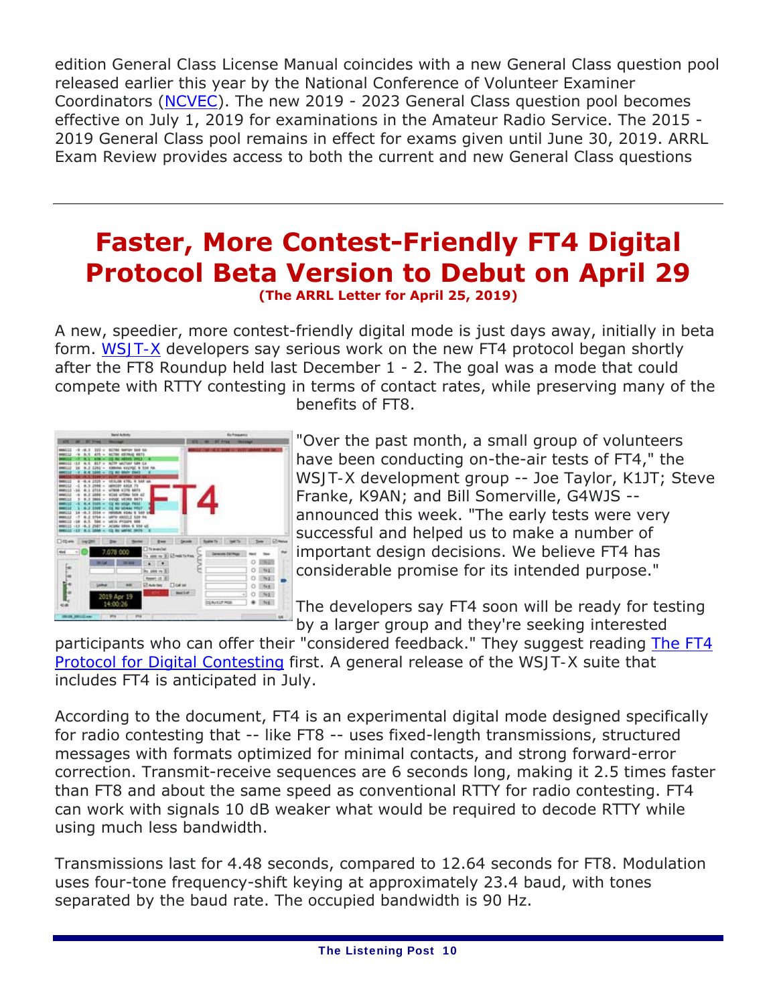edition *General Class License Manual* coincides with a new General Class question pool released earlier this year by the National Conference of Volunteer Examiner Coordinators (NCVEC). The new 2019 - 2023 General Class question pool becomes effective on July 1, 2019 for examinations in the Amateur Radio Service. The 2015 - 2019 General Class pool remains in effect for exams given until June 30, 2019. ARRL Exam Review provides access to both the current and new General Class questions

## **Faster, More Contest-Friendly FT4 Digital Protocol Beta Version to Debut on April 29 (The ARRL Letter for April 25, 2019)**

A new, speedier, more contest-friendly digital mode is just days away, initially in beta form. *WSJT-X* developers say serious work on the new FT4 protocol began shortly after the FT8 Roundup held last December 1 - 2. The goal was a mode that could compete with RTTY contesting in terms of contact rates, while preserving many of the benefits of FT8.



"Over the past month, a small group of volunteers have been conducting on-the-air tests of FT4," the *WSJT-X* development group -- Joe Taylor, K1JT; Steve Franke, K9AN; and Bill Somerville, G4WJS - announced this week. "The early tests were very successful and helped us to make a number of important design decisions. We believe FT4 has considerable promise for its intended purpose."

The developers say FT4 soon will be ready for testing by a larger group and they're seeking interested

participants who can offer their "considered feedback." They suggest reading *The FT4 Protocol for Digital Contesting* first. A general release of the *WSJT-X* suite that includes FT4 is anticipated in July.

According to the document, FT4 is an experimental digital mode designed specifically for radio contesting that -- like FT8 -- uses fixed-length transmissions, structured messages with formats optimized for minimal contacts, and strong forward-error correction. Transmit-receive sequences are 6 seconds long, making it 2.5 times faster than FT8 and about the same speed as conventional RTTY for radio contesting. FT4 can work with signals 10 dB weaker what would be required to decode RTTY while using much less bandwidth.

Transmissions last for 4.48 seconds, compared to 12.64 seconds for FT8. Modulation uses four-tone frequency-shift keying at approximately 23.4 baud, with tones separated by the baud rate. The occupied bandwidth is 90 Hz.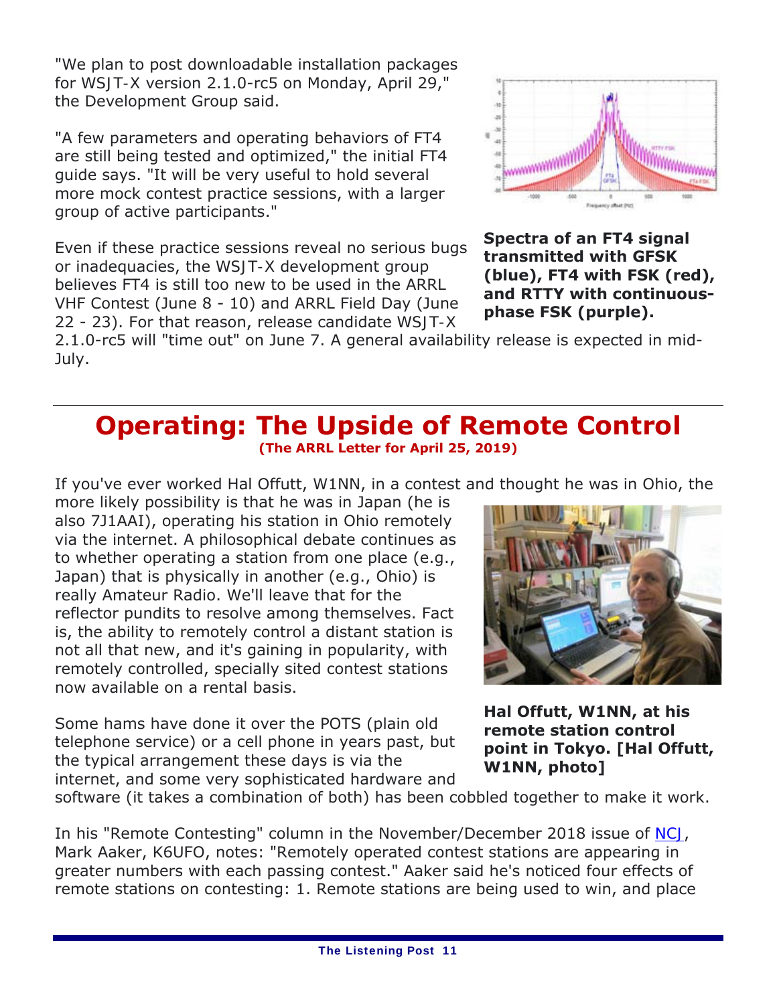"We plan to post downloadable installation packages for *WSJT-X* version 2.1.0-rc5 on Monday, April 29," the Development Group said.

"A few parameters and operating behaviors of FT4 are still being tested and optimized," the initial FT4 guide says. "It will be very useful to hold several more mock contest practice sessions, with a larger group of active participants."

Even if these practice sessions reveal no serious bugs or inadequacies, the *WSJT-X* development group believes FT4 is still too new to be used in the ARRL VHF Contest (June 8 - 10) and ARRL Field Day (June 22 - 23). For that reason, release candidate *WSJT-X*



**Spectra of an FT4 signal transmitted with GFSK (blue), FT4 with FSK (red), and RTTY with continuousphase FSK (purple).**

2.1.0-rc5 will "time out" on June 7. A general availability release is expected in mid-July.

### *Operating:* **The Upside of Remote Control (The ARRL Letter for April 25, 2019)**

If you've ever worked Hal Offutt, W1NN, in a contest and thought he was in Ohio, the

more likely possibility is that he was in Japan (he is also 7J1AAI), operating his station in Ohio remotely via the internet. A philosophical debate continues as to whether operating a station from one place (e.g., Japan) that is physically in another (e.g., Ohio) is *really* Amateur Radio. We'll leave that for the reflector pundits to resolve among themselves. Fact is, the ability to remotely control a distant station is not all that new, and it's gaining in popularity, with remotely controlled, specially sited contest stations now available on a rental basis.

Some hams have done it over the POTS (plain old telephone service) or a cell phone in years past, but the typical arrangement these days is via the internet, and some very sophisticated hardware and



**Hal Offutt, W1NN, at his remote station control point in Tokyo. [Hal Offutt, W1NN, photo]**

software (it takes a combination of both) has been cobbled together to make it work.

In his "Remote Contesting" column in the November/December 2018 issue of *NCJ*, Mark Aaker, K6UFO, notes: "Remotely operated contest stations are appearing in greater numbers with each passing contest." Aaker said he's noticed four effects of remote stations on contesting: 1. Remote stations are being used to win, and place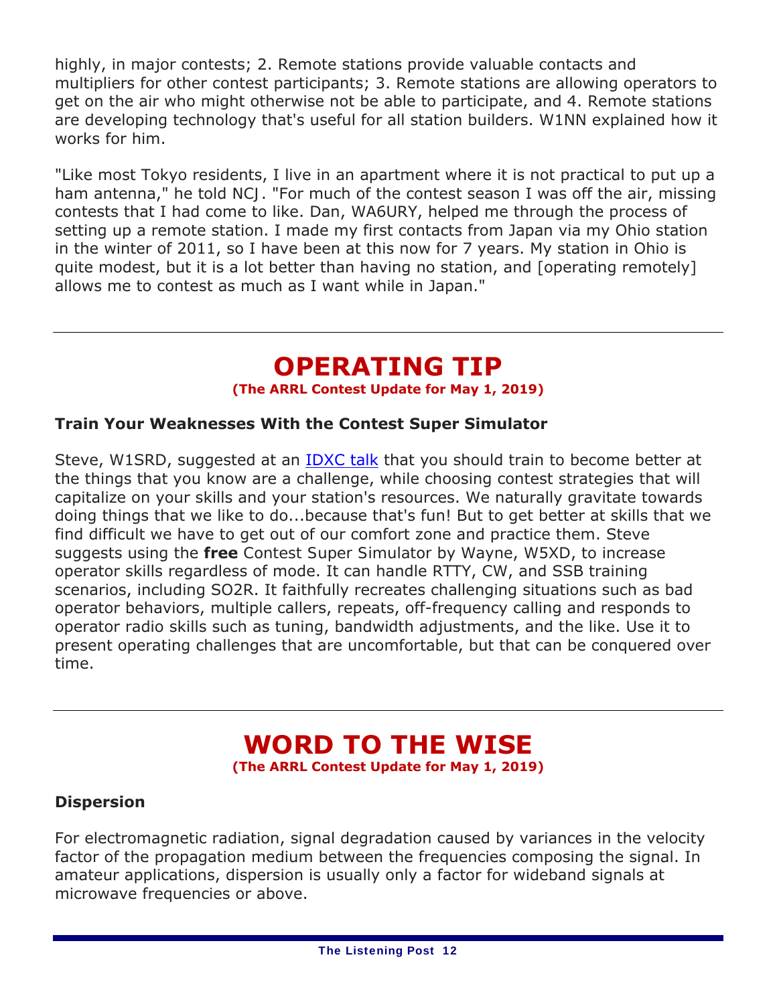highly, in major contests; 2. Remote stations provide valuable contacts and multipliers for other contest participants; 3. Remote stations are allowing operators to get on the air who might otherwise not be able to participate, and 4. Remote stations are developing technology that's useful for all station builders. W1NN explained how it works for him.

"Like most Tokyo residents, I live in an apartment where it is not practical to put up a ham antenna," he told *NCJ*. "For much of the contest season I was off the air, missing contests that I had come to like. Dan, WA6URY, helped me through the process of setting up a remote station. I made my first contacts from Japan via my Ohio station in the winter of 2011, so I have been at this now for 7 years. My station in Ohio is quite modest, but it is a lot better than having no station, and [operating remotely] allows me to contest as much as I want while in Japan."

## **OPERATING TIP**

**(The ARRL Contest Update for May 1, 2019)**

### **Train Your Weaknesses With the Contest Super Simulator**

Steve, W1SRD, suggested at an **IDXC talk** that you should train to become better at the things that you know are a challenge, while choosing contest strategies that will capitalize on your skills and your station's resources. We naturally gravitate towards doing things that we like to do...because that's fun! But to get better at skills that we find difficult we have to get out of our comfort zone and practice them. Steve suggests using the **free** *Contest Super Simulator* by Wayne, W5XD, to increase operator skills regardless of mode. It can handle RTTY, CW, and SSB training scenarios, including SO2R. It faithfully recreates challenging situations such as bad operator behaviors, multiple callers, repeats, off-frequency calling and responds to operator radio skills such as tuning, bandwidth adjustments, and the like. Use it to present operating challenges that are uncomfortable, but that can be conquered over time.

# **WORD TO THE WISE**

**(The ARRL Contest Update for May 1, 2019)**

### **Dispersion**

For electromagnetic radiation, signal degradation caused by variances in the velocity factor of the propagation medium between the frequencies composing the signal. In amateur applications, dispersion is usually only a factor for wideband signals at microwave frequencies or above.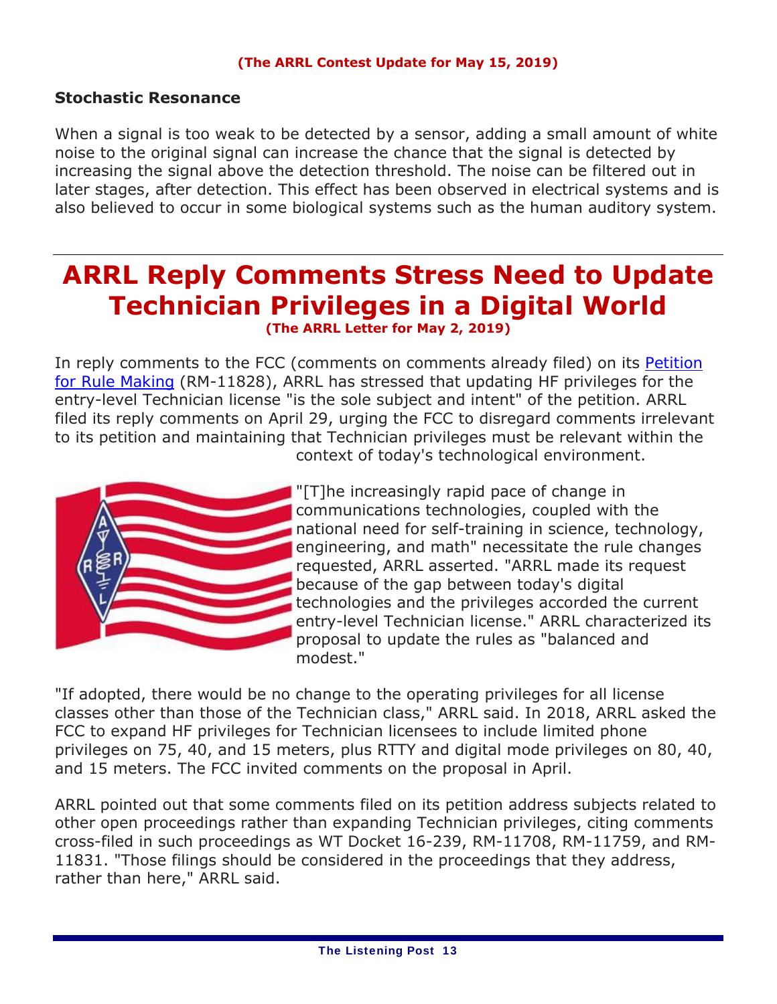#### **(The ARRL Contest Update for May 15, 2019)**

### **Stochastic Resonance**

When a signal is too weak to be detected by a sensor, adding a small amount of white noise to the original signal can increase the chance that the signal is detected by increasing the signal above the detection threshold. The noise can be filtered out in later stages, after detection. This effect has been observed in electrical systems and is also believed to occur in some biological systems such as the human auditory system.

## **ARRL Reply Comments Stress Need to Update Technician Privileges in a Digital World (The ARRL Letter for May 2, 2019)**

In reply comments to the FCC (comments on comments already filed) on its *Petition for Rule Making* (RM-11828), ARRL has stressed that updating HF privileges for the entry-level Technician license "is the sole subject and intent" of the petition. ARRL filed its reply comments on April 29, urging the FCC to disregard comments irrelevant to its petition and maintaining that Technician privileges must be relevant within the context of today's technological environment.



"[T]he increasingly rapid pace of change in communications technologies, coupled with the national need for self-training in science, technology, engineering, and math" necessitate the rule changes requested, ARRL asserted. "ARRL made its request because of the gap between today's digital technologies and the privileges accorded the current entry-level Technician license." ARRL characterized its proposal to update the rules as "balanced and modest."

"If adopted, there would be no change to the operating privileges for all license classes other than those of the Technician class," ARRL said. In 2018, ARRL asked the FCC to expand HF privileges for Technician licensees to include limited phone privileges on 75, 40, and 15 meters, plus RTTY and digital mode privileges on 80, 40, and 15 meters. The FCC invited comments on the proposal in April.

ARRL pointed out that some comments filed on its petition address subjects related to other open proceedings rather than expanding Technician privileges, citing comments cross-filed in such proceedings as WT Docket 16-239, RM-11708, RM-11759, and RM-11831. "Those filings should be considered in the proceedings that they address, rather than here," ARRL said.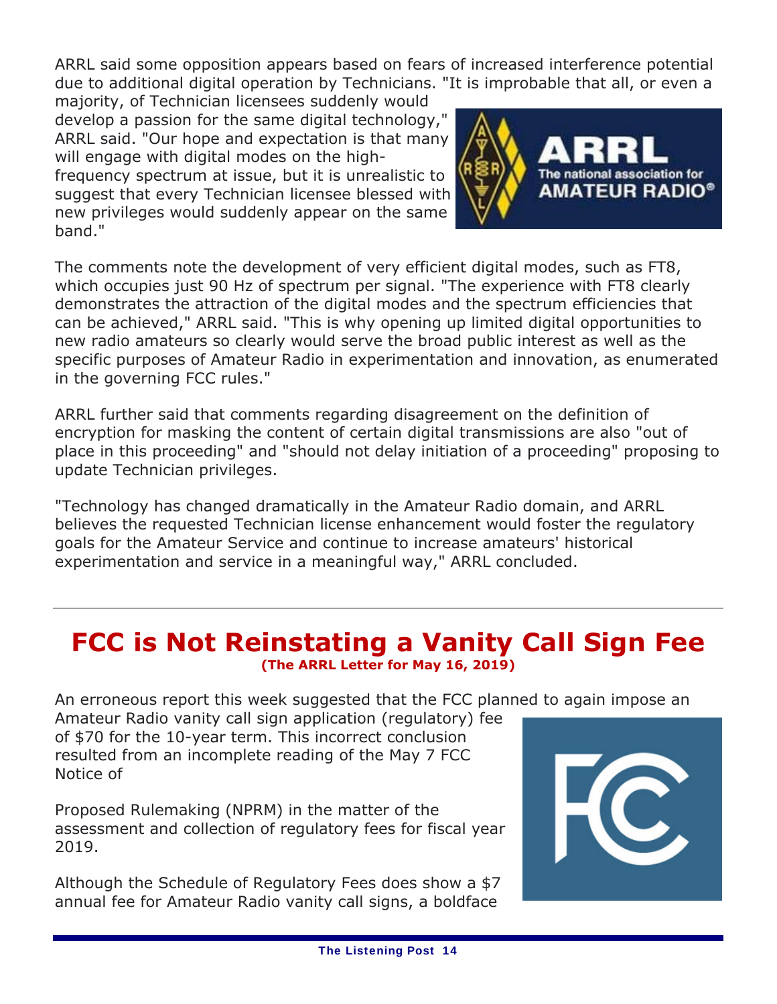ARRL said some opposition appears based on fears of increased interference potential due to additional digital operation by Technicians. "It is improbable that all, or even a

majority, of Technician licensees suddenly would develop a passion for the same digital technology," ARRL said. "Our hope and expectation is that many will engage with digital modes on the highfrequency spectrum at issue, but it is unrealistic to

suggest that every Technician licensee blessed with new privileges would suddenly appear on the same band."



The comments note the development of very efficient digital modes, such as FT8, which occupies just 90 Hz of spectrum per signal. "The experience with FT8 clearly demonstrates the attraction of the digital modes *and* the spectrum efficiencies that can be achieved," ARRL said. "This is why opening up limited digital opportunities to new radio amateurs so clearly would serve the broad public interest as well as the specific purposes of Amateur Radio in experimentation and innovation, as enumerated in the governing FCC rules."

ARRL further said that comments regarding disagreement on the definition of encryption for masking the content of certain digital transmissions are also "out of place in this proceeding" and "should not delay initiation of a proceeding" proposing to update Technician privileges.

"Technology has changed dramatically in the Amateur Radio domain, and ARRL believes the requested Technician license enhancement would foster the regulatory goals for the Amateur Service and continue to increase amateurs' historical experimentation and service in a meaningful way," ARRL concluded.

### **FCC is Not Reinstating a Vanity Call Sign Fee (The ARRL Letter for May 16, 2019)**

An erroneous report this week suggested that the FCC planned to again impose an

Amateur Radio vanity call sign application (regulatory) fee of \$70 for the 10-year term. This incorrect conclusion resulted from an incomplete reading of the May 7 FCC *Notice of* 

*Proposed Rulemaking* (*NPRM*) in the matter of the assessment and collection of regulatory fees for fiscal year 2019.

Although the Schedule of Regulatory Fees does show a \$7 annual fee for Amateur Radio vanity call signs, a boldface

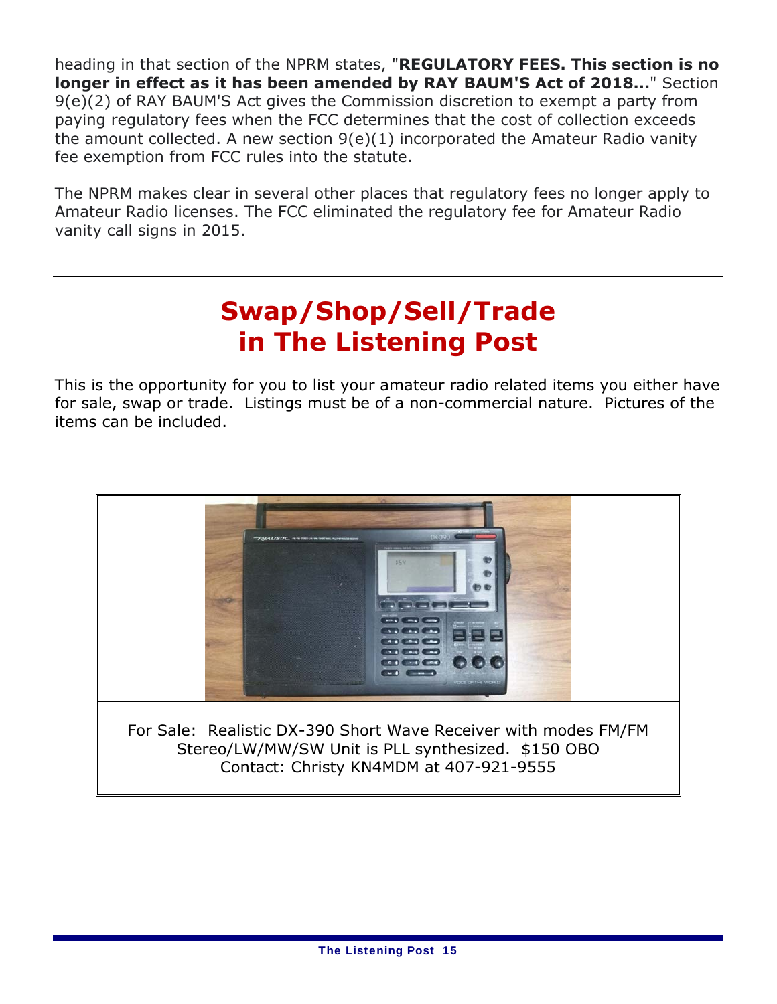heading in that section of the *NPRM* states, "**REGULATORY FEES. This section is no longer in effect as it has been amended by RAY BAUM'S Act of 2018...**" Section 9(e)(2) of RAY BAUM'S Act gives the Commission discretion to exempt a party from paying regulatory fees when the FCC determines that the cost of collection exceeds the amount collected. A new section 9(e)(1) incorporated the Amateur Radio vanity fee exemption from FCC rules into the statute.

The *NPRM* makes clear in several other places that regulatory fees no longer apply to Amateur Radio licenses. The FCC eliminated the regulatory fee for Amateur Radio vanity call signs in 2015.

## **Swap/Shop/Sell/Trade in** *The Listening Post*

This is the opportunity for you to list your amateur radio related items you either have for sale, swap or trade. Listings must be of a non-commercial nature. Pictures of the items can be included.

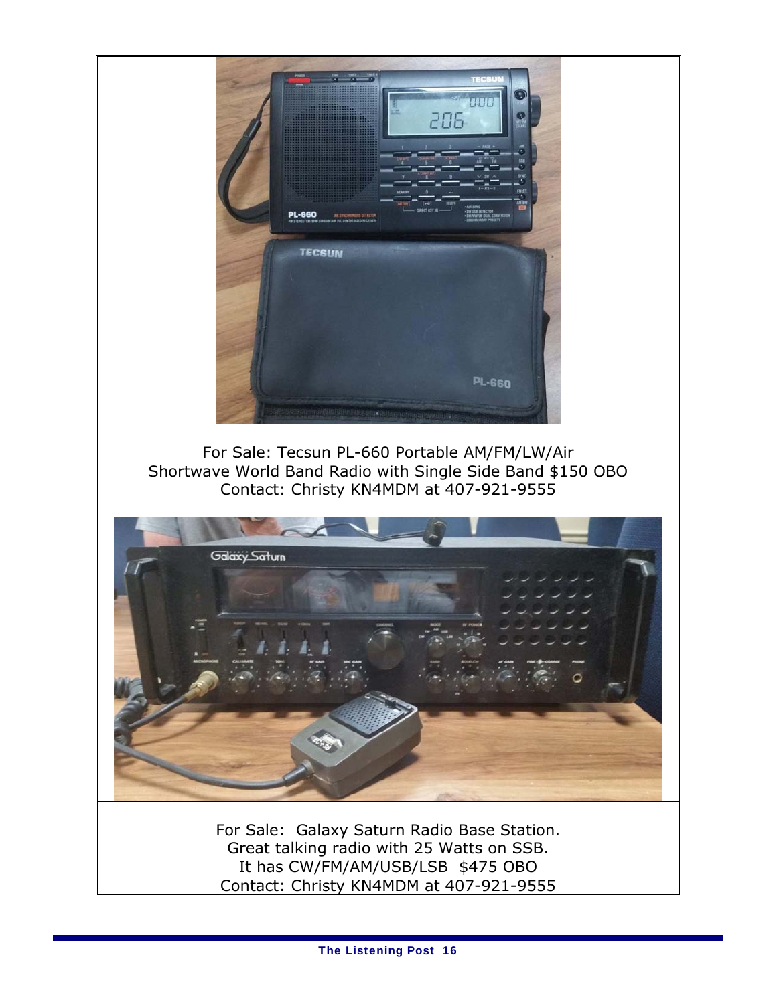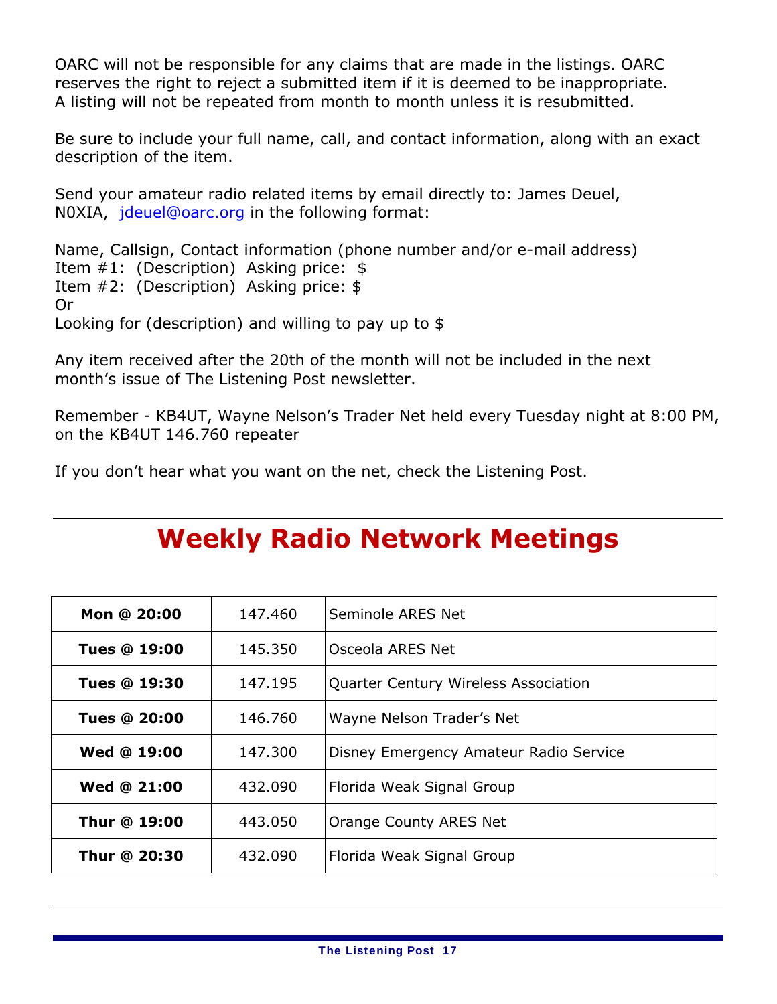OARC will not be responsible for any claims that are made in the listings. OARC reserves the right to reject a submitted item if it is deemed to be inappropriate. A listing will not be repeated from month to month unless it is resubmitted.

Be sure to include your full name, call, and contact information, along with an exact description of the item.

Send your amateur radio related items by email directly to: James Deuel, N0XIA, jdeuel@oarc.org in the following format:

Name, Callsign, Contact information (phone number and/or e-mail address) Item #1: (Description) Asking price: \$ Item #2: (Description) Asking price: \$ Or Looking for (description) and willing to pay up to \$

Any item received after the 20th of the month will not be included in the next month's issue of *The Listening Post* newsletter.

Remember - KB4UT, Wayne Nelson's Trader Net held every Tuesday night at 8:00 PM, on the KB4UT 146.760 repeater

If you don't hear what you want on the net, check the Listening Post.

## **Weekly Radio Network Meetings**

| Mon @ 20:00         | 147.460 | Seminole ARES Net                      |
|---------------------|---------|----------------------------------------|
| <b>Tues @ 19:00</b> | 145.350 | Osceola ARES Net                       |
| <b>Tues @ 19:30</b> | 147.195 | Quarter Century Wireless Association   |
| <b>Tues @ 20:00</b> | 146.760 | Wayne Nelson Trader's Net              |
| <b>Wed @ 19:00</b>  | 147.300 | Disney Emergency Amateur Radio Service |
| Wed @ 21:00         | 432.090 | Florida Weak Signal Group              |
| Thur @ 19:00        | 443.050 | Orange County ARES Net                 |
| Thur @ 20:30        | 432.090 | Florida Weak Signal Group              |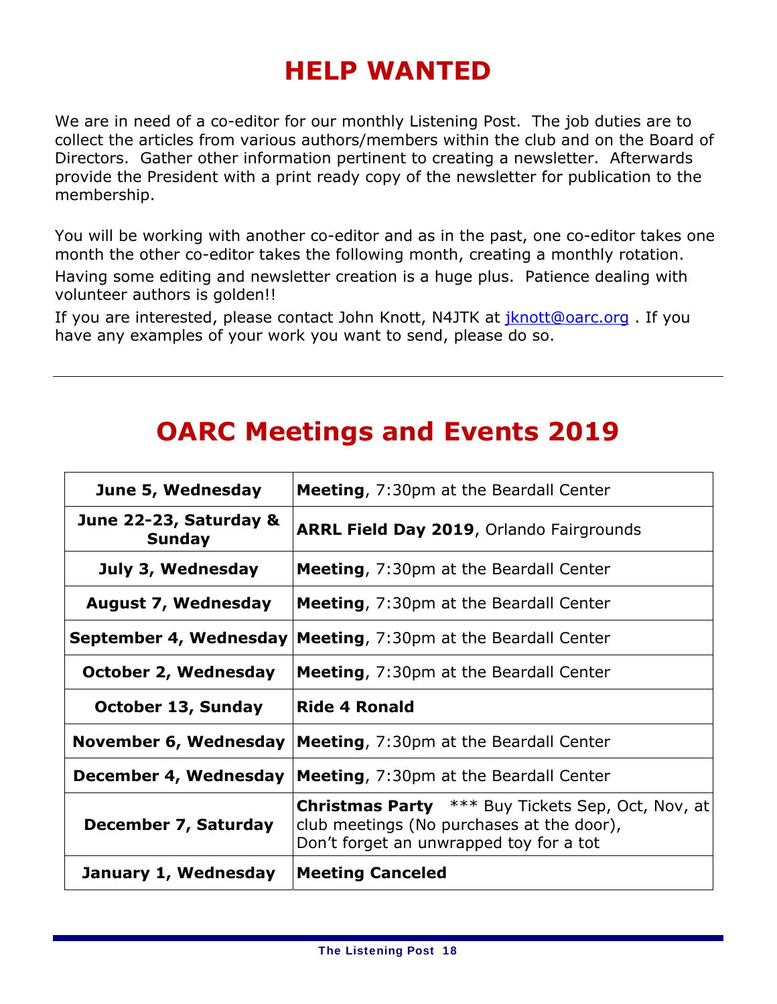# **HELP WANTED**

We are in need of a co-editor for our monthly Listening Post. The job duties are to collect the articles from various authors/members within the club and on the Board of Directors. Gather other information pertinent to creating a newsletter. Afterwards provide the President with a print ready copy of the newsletter for publication to the membership.

You will be working with another co-editor and as in the past, one co-editor takes one month the other co-editor takes the following month, creating a monthly rotation. Having some editing and newsletter creation is a huge plus. Patience dealing with volunteer authors is golden!!

If you are interested, please contact John Knott, N4JTK at jknott@oarc.org. If you have any examples of your work you want to send, please do so.

## **OARC Meetings and Events 2019**

| June 5, Wednesday                       | <b>Meeting, 7:30pm at the Beardall Center</b>                                                                                                    |
|-----------------------------------------|--------------------------------------------------------------------------------------------------------------------------------------------------|
| June 22-23, Saturday &<br><b>Sunday</b> | <b>ARRL Field Day 2019, Orlando Fairgrounds</b>                                                                                                  |
| July 3, Wednesday                       | <b>Meeting, 7:30pm at the Beardall Center</b>                                                                                                    |
| <b>August 7, Wednesday</b>              | <b>Meeting, 7:30pm at the Beardall Center</b>                                                                                                    |
| September 4, Wednesday                  | <b>Meeting, 7:30pm at the Beardall Center</b>                                                                                                    |
| October 2, Wednesday                    | <b>Meeting, 7:30pm at the Beardall Center</b>                                                                                                    |
| <b>October 13, Sunday</b>               | <b>Ride 4 Ronald</b>                                                                                                                             |
| November 6, Wednesday                   | <b>Meeting, 7:30pm at the Beardall Center</b>                                                                                                    |
| December 4, Wednesday                   | Meeting, 7:30pm at the Beardall Center                                                                                                           |
| December 7, Saturday                    | <b>Christmas Party</b> *** Buy Tickets Sep, Oct, Nov, at<br>club meetings (No purchases at the door),<br>Don't forget an unwrapped toy for a tot |
| January 1, Wednesday                    | <b>Meeting Canceled</b>                                                                                                                          |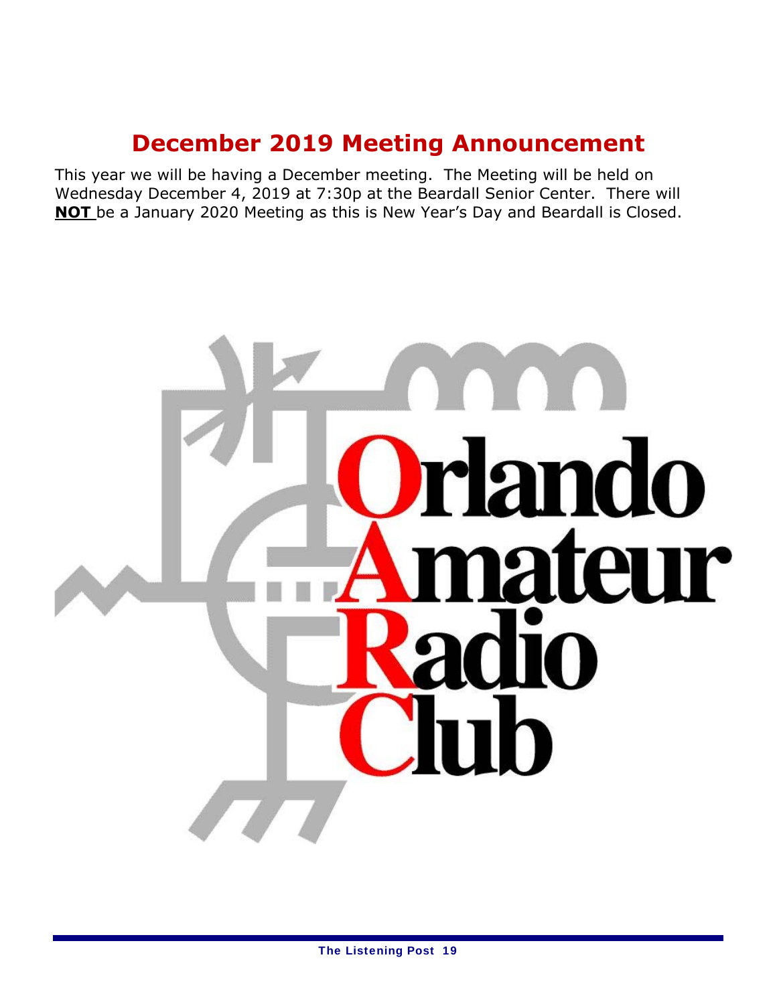## **December 2019 Meeting Announcement**

This year we will be having a December meeting. The Meeting will be held on Wednesday December 4, 2019 at 7:30p at the Beardall Senior Center. There will **NOT** be a January 2020 Meeting as this is New Year's Day and Beardall is Closed.